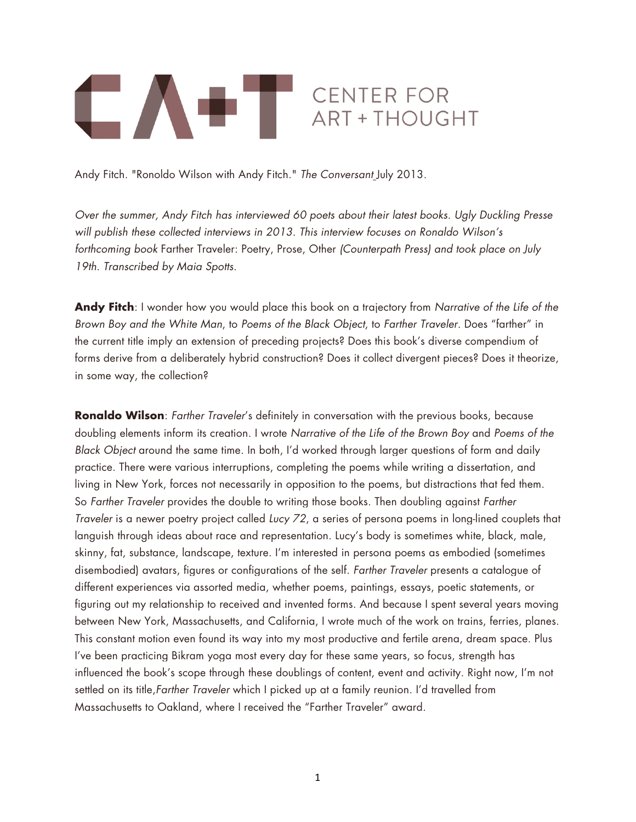

Andy Fitch. "Ronoldo Wilson with Andy Fitch." *The Conversant* July 2013.

*Over the summer, Andy Fitch has interviewed 60 poets about their latest books. Ugly Duckling Presse will publish these collected interviews in 2013. This interview focuses on Ronaldo Wilson's forthcoming book* Farther Traveler: Poetry, Prose, Other *(Counterpath Press) and took place on July 19th. Transcribed by Maia Spotts.*

**Andy Fitch**: I wonder how you would place this book on a trajectory from *Narrative of the Life of the Brown Boy and the White Man*, to *Poems of the Black Object*, to *Farther Traveler.* Does "farther" in the current title imply an extension of preceding projects? Does this book's diverse compendium of forms derive from a deliberately hybrid construction? Does it collect divergent pieces? Does it theorize, in some way, the collection?

**Ronaldo Wilson**: *Farther Traveler*'s definitely in conversation with the previous books, because doubling elements inform its creation. I wrote *Narrative of the Life of the Brown Boy* and *Poems of the Black Object* around the same time. In both, I'd worked through larger questions of form and daily practice. There were various interruptions, completing the poems while writing a dissertation, and living in New York, forces not necessarily in opposition to the poems, but distractions that fed them. So *Farther Traveler* provides the double to writing those books. Then doubling against *Farther Traveler* is a newer poetry project called *Lucy 72*, a series of persona poems in long-lined couplets that languish through ideas about race and representation. Lucy's body is sometimes white, black, male, skinny, fat, substance, landscape, texture. I'm interested in persona poems as embodied (sometimes disembodied) avatars, figures or configurations of the self. *Farther Traveler* presents a catalogue of different experiences via assorted media, whether poems, paintings, essays, poetic statements, or figuring out my relationship to received and invented forms. And because I spent several years moving between New York, Massachusetts, and California, I wrote much of the work on trains, ferries, planes. This constant motion even found its way into my most productive and fertile arena, dream space. Plus I've been practicing Bikram yoga most every day for these same years, so focus, strength has influenced the book's scope through these doublings of content, event and activity. Right now, I'm not settled on its title,*Farther Traveler* which I picked up at a family reunion. I'd travelled from Massachusetts to Oakland, where I received the "Farther Traveler" award.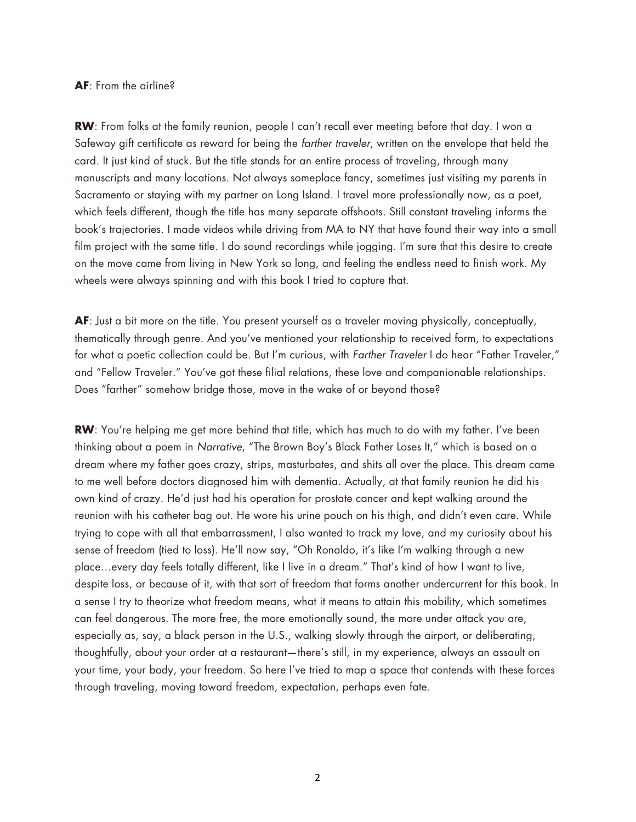## **AF**: From the airline?

**RW**: From folks at the family reunion, people I can't recall ever meeting before that day. I won a Safeway gift certificate as reward for being the *farther traveler*, written on the envelope that held the card. It just kind of stuck. But the title stands for an entire process of traveling, through many manuscripts and many locations. Not always someplace fancy, sometimes just visiting my parents in Sacramento or staying with my partner on Long Island. I travel more professionally now, as a poet, which feels different, though the title has many separate offshoots. Still constant traveling informs the book's trajectories. I made videos while driving from MA to NY that have found their way into a small film project with the same title. I do sound recordings while jogging. I'm sure that this desire to create on the move came from living in New York so long, and feeling the endless need to finish work. My wheels were always spinning and with this book I tried to capture that.

**AF**: Just a bit more on the title. You present yourself as a traveler moving physically, conceptually, thematically through genre. And you've mentioned your relationship to received form, to expectations for what a poetic collection could be. But I'm curious, with *Farther Traveler* I do hear "Father Traveler," and "Fellow Traveler." You've got these filial relations, these love and companionable relationships. Does "farther" somehow bridge those, move in the wake of or beyond those?

**RW**: You're helping me get more behind that title, which has much to do with my father. I've been thinking about a poem in *Narrative*, "The Brown Boy's Black Father Loses It," which is based on a dream where my father goes crazy, strips, masturbates, and shits all over the place. This dream came to me well before doctors diagnosed him with dementia. Actually, at that family reunion he did his own kind of crazy. He'd just had his operation for prostate cancer and kept walking around the reunion with his catheter bag out. He wore his urine pouch on his thigh, and didn't even care. While trying to cope with all that embarrassment, I also wanted to track my love, and my curiosity about his sense of freedom (tied to loss). He'll now say, "Oh Ronaldo, it's like I'm walking through a new place…every day feels totally different, like I live in a dream." That's kind of how I want to live, despite loss, or because of it, with that sort of freedom that forms another undercurrent for this book. In a sense I try to theorize what freedom means, what it means to attain this mobility, which sometimes can feel dangerous. The more free, the more emotionally sound, the more under attack you are, especially as, say, a black person in the U.S., walking slowly through the airport, or deliberating, thoughtfully, about your order at a restaurant—there's still, in my experience, always an assault on your time, your body, your freedom. So here I've tried to map a space that contends with these forces through traveling, moving toward freedom, expectation, perhaps even fate.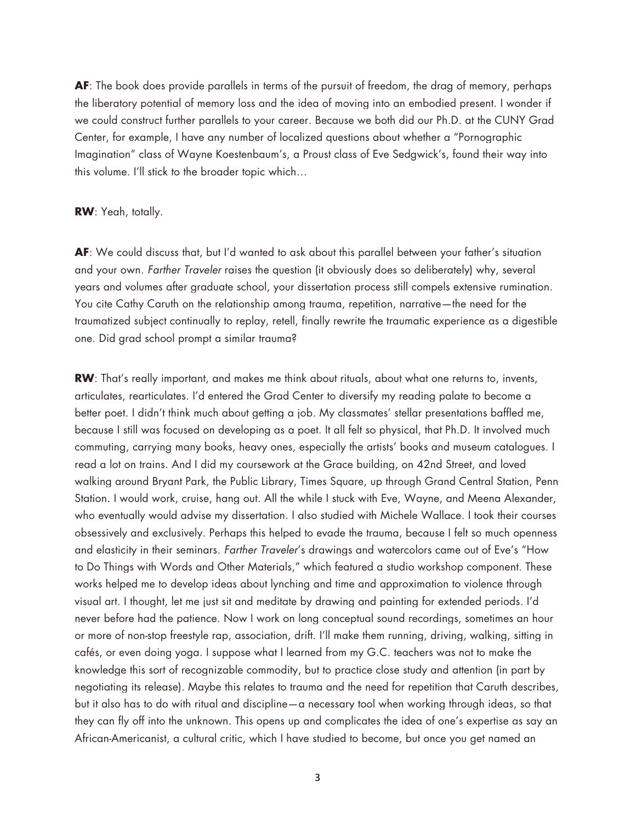**AF**: The book does provide parallels in terms of the pursuit of freedom, the drag of memory, perhaps the liberatory potential of memory loss and the idea of moving into an embodied present. I wonder if we could construct further parallels to your career. Because we both did our Ph.D. at the CUNY Grad Center, for example, I have any number of localized questions about whether a "Pornographic Imagination" class of Wayne Koestenbaum's, a Proust class of Eve Sedgwick's, found their way into this volume. I'll stick to the broader topic which…

## **RW**: Yeah, totally.

**AF**: We could discuss that, but I'd wanted to ask about this parallel between your father's situation and your own. *Farther Traveler* raises the question (it obviously does so deliberately) why, several years and volumes after graduate school, your dissertation process still compels extensive rumination. You cite Cathy Caruth on the relationship among trauma, repetition, narrative—the need for the traumatized subject continually to replay, retell, finally rewrite the traumatic experience as a digestible one. Did grad school prompt a similar trauma?

**RW**: That's really important, and makes me think about rituals, about what one returns to, invents, articulates, rearticulates. I'd entered the Grad Center to diversify my reading palate to become a better poet. I didn't think much about getting a job. My classmates' stellar presentations baffled me, because I still was focused on developing as a poet. It all felt so physical, that Ph.D. It involved much commuting, carrying many books, heavy ones, especially the artists' books and museum catalogues. I read a lot on trains. And I did my coursework at the Grace building, on 42nd Street, and loved walking around Bryant Park, the Public Library, Times Square, up through Grand Central Station, Penn Station. I would work, cruise, hang out. All the while I stuck with Eve, Wayne, and Meena Alexander, who eventually would advise my dissertation. I also studied with Michele Wallace. I took their courses obsessively and exclusively. Perhaps this helped to evade the trauma, because I felt so much openness and elasticity in their seminars. *Farther Traveler*'s drawings and watercolors came out of Eve's "How to Do Things with Words and Other Materials," which featured a studio workshop component. These works helped me to develop ideas about lynching and time and approximation to violence through visual art. I thought, let me just sit and meditate by drawing and painting for extended periods. I'd never before had the patience. Now I work on long conceptual sound recordings, sometimes an hour or more of non-stop freestyle rap, association, drift. I'll make them running, driving, walking, sitting in cafés, or even doing yoga. I suppose what I learned from my G.C. teachers was not to make the knowledge this sort of recognizable commodity, but to practice close study and attention (in part by negotiating its release). Maybe this relates to trauma and the need for repetition that Caruth describes, but it also has to do with ritual and discipline—a necessary tool when working through ideas, so that they can fly off into the unknown. This opens up and complicates the idea of one's expertise as say an African-Americanist, a cultural critic, which I have studied to become, but once you get named an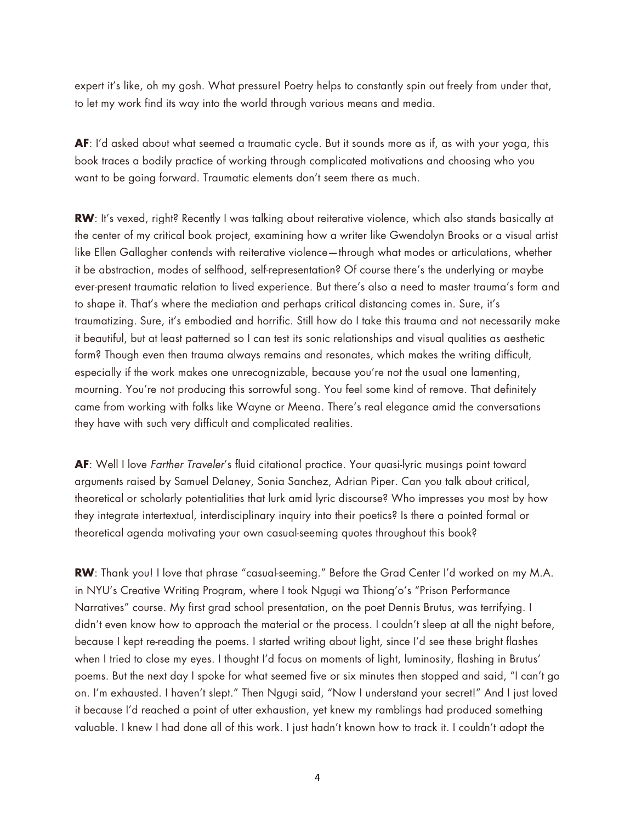expert it's like, oh my gosh. What pressure! Poetry helps to constantly spin out freely from under that, to let my work find its way into the world through various means and media.

**AF**: I'd asked about what seemed a traumatic cycle. But it sounds more as if, as with your yoga, this book traces a bodily practice of working through complicated motivations and choosing who you want to be going forward. Traumatic elements don't seem there as much.

**RW:** It's vexed, right? Recently I was talking about reiterative violence, which also stands basically at the center of my critical book project, examining how a writer like Gwendolyn Brooks or a visual artist like Ellen Gallagher contends with reiterative violence—through what modes or articulations, whether it be abstraction, modes of selfhood, self-representation? Of course there's the underlying or maybe ever-present traumatic relation to lived experience. But there's also a need to master trauma's form and to shape it. That's where the mediation and perhaps critical distancing comes in. Sure, it's traumatizing. Sure, it's embodied and horrific. Still how do I take this trauma and not necessarily make it beautiful, but at least patterned so I can test its sonic relationships and visual qualities as aesthetic form? Though even then trauma always remains and resonates, which makes the writing difficult, especially if the work makes one unrecognizable, because you're not the usual one lamenting, mourning. You're not producing this sorrowful song. You feel some kind of remove. That definitely came from working with folks like Wayne or Meena. There's real elegance amid the conversations they have with such very difficult and complicated realities.

**AF**: Well I love *Farther Traveler*'s fluid citational practice. Your quasi-lyric musings point toward arguments raised by Samuel Delaney, Sonia Sanchez, Adrian Piper. Can you talk about critical, theoretical or scholarly potentialities that lurk amid lyric discourse? Who impresses you most by how they integrate intertextual, interdisciplinary inquiry into their poetics? Is there a pointed formal or theoretical agenda motivating your own casual-seeming quotes throughout this book?

**RW**: Thank you! I love that phrase "casual-seeming." Before the Grad Center I'd worked on my M.A. in NYU's Creative Writing Program, where I took Ngugi wa Thiong'o's "Prison Performance Narratives" course. My first grad school presentation, on the poet Dennis Brutus, was terrifying. I didn't even know how to approach the material or the process. I couldn't sleep at all the night before, because I kept re-reading the poems. I started writing about light, since I'd see these bright flashes when I tried to close my eyes. I thought I'd focus on moments of light, luminosity, flashing in Brutus' poems. But the next day I spoke for what seemed five or six minutes then stopped and said, "I can't go on. I'm exhausted. I haven't slept." Then Ngugi said, "Now I understand your secret!" And I just loved it because I'd reached a point of utter exhaustion, yet knew my ramblings had produced something valuable. I knew I had done all of this work. I just hadn't known how to track it. I couldn't adopt the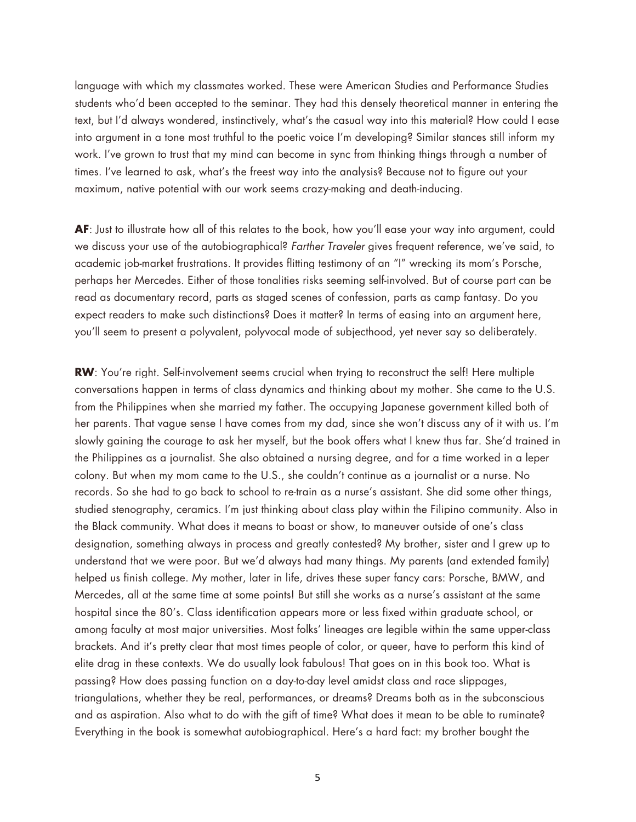language with which my classmates worked. These were American Studies and Performance Studies students who'd been accepted to the seminar. They had this densely theoretical manner in entering the text, but I'd always wondered, instinctively, what's the casual way into this material? How could I ease into argument in a tone most truthful to the poetic voice I'm developing? Similar stances still inform my work. I've grown to trust that my mind can become in sync from thinking things through a number of times. I've learned to ask, what's the freest way into the analysis? Because not to figure out your maximum, native potential with our work seems crazy-making and death-inducing.

**AF**: Just to illustrate how all of this relates to the book, how you'll ease your way into argument, could we discuss your use of the autobiographical? *Farther Traveler* gives frequent reference, we've said, to academic job-market frustrations. It provides flitting testimony of an "I" wrecking its mom's Porsche, perhaps her Mercedes. Either of those tonalities risks seeming self-involved. But of course part can be read as documentary record, parts as staged scenes of confession, parts as camp fantasy. Do you expect readers to make such distinctions? Does it matter? In terms of easing into an argument here, you'll seem to present a polyvalent, polyvocal mode of subjecthood, yet never say so deliberately.

**RW:** You're right. Self-involvement seems crucial when trying to reconstruct the self! Here multiple conversations happen in terms of class dynamics and thinking about my mother. She came to the U.S. from the Philippines when she married my father. The occupying Japanese government killed both of her parents. That vague sense I have comes from my dad, since she won't discuss any of it with us. I'm slowly gaining the courage to ask her myself, but the book offers what I knew thus far. She'd trained in the Philippines as a journalist. She also obtained a nursing degree, and for a time worked in a leper colony. But when my mom came to the U.S., she couldn't continue as a journalist or a nurse. No records. So she had to go back to school to re-train as a nurse's assistant. She did some other things, studied stenography, ceramics. I'm just thinking about class play within the Filipino community. Also in the Black community. What does it means to boast or show, to maneuver outside of one's class designation, something always in process and greatly contested? My brother, sister and I grew up to understand that we were poor. But we'd always had many things. My parents (and extended family) helped us finish college. My mother, later in life, drives these super fancy cars: Porsche, BMW, and Mercedes, all at the same time at some points! But still she works as a nurse's assistant at the same hospital since the 80's. Class identification appears more or less fixed within graduate school, or among faculty at most major universities. Most folks' lineages are legible within the same upper-class brackets. And it's pretty clear that most times people of color, or queer, have to perform this kind of elite drag in these contexts. We do usually look fabulous! That goes on in this book too. What is passing? How does passing function on a day-to-day level amidst class and race slippages, triangulations, whether they be real, performances, or dreams? Dreams both as in the subconscious and as aspiration. Also what to do with the gift of time? What does it mean to be able to ruminate? Everything in the book is somewhat autobiographical. Here's a hard fact: my brother bought the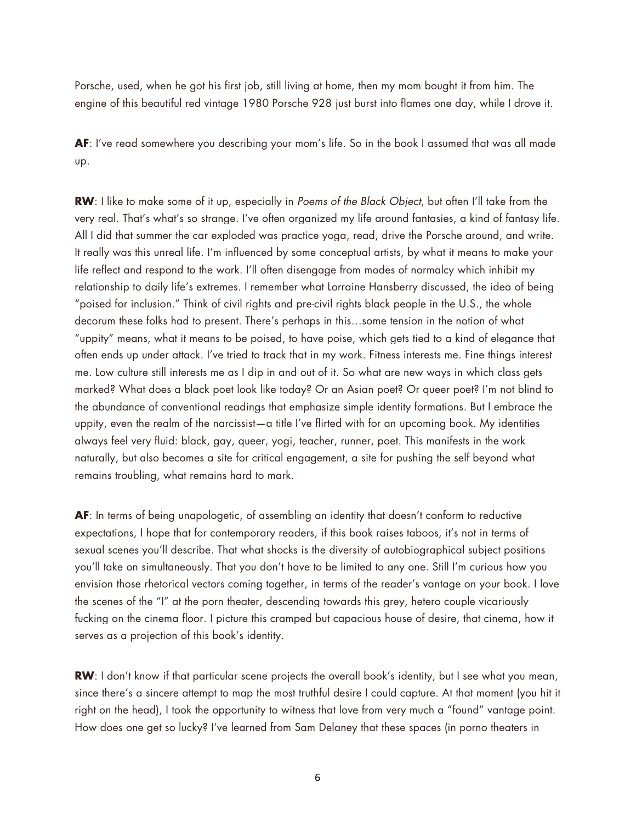Porsche, used, when he got his first job, still living at home, then my mom bought it from him. The engine of this beautiful red vintage 1980 Porsche 928 just burst into flames one day, while I drove it.

**AF**: I've read somewhere you describing your mom's life. So in the book I assumed that was all made up.

**RW**: I like to make some of it up, especially in *Poems of the Black Object*, but often I'll take from the very real. That's what's so strange. I've often organized my life around fantasies, a kind of fantasy life. All I did that summer the car exploded was practice yoga, read, drive the Porsche around, and write. It really was this unreal life. I'm influenced by some conceptual artists, by what it means to make your life reflect and respond to the work. I'll often disengage from modes of normalcy which inhibit my relationship to daily life's extremes. I remember what Lorraine Hansberry discussed, the idea of being "poised for inclusion." Think of civil rights and pre-civil rights black people in the U.S., the whole decorum these folks had to present. There's perhaps in this…some tension in the notion of what "uppity" means, what it means to be poised, to have poise, which gets tied to a kind of elegance that often ends up under attack. I've tried to track that in my work. Fitness interests me. Fine things interest me. Low culture still interests me as I dip in and out of it. So what are new ways in which class gets marked? What does a black poet look like today? Or an Asian poet? Or queer poet? I'm not blind to the abundance of conventional readings that emphasize simple identity formations. But I embrace the uppity, even the realm of the narcissist—a title I've flirted with for an upcoming book. My identities always feel very fluid: black, gay, queer, yogi, teacher, runner, poet. This manifests in the work naturally, but also becomes a site for critical engagement, a site for pushing the self beyond what remains troubling, what remains hard to mark.

**AF**: In terms of being unapologetic, of assembling an identity that doesn't conform to reductive expectations, I hope that for contemporary readers, if this book raises taboos, it's not in terms of sexual scenes you'll describe. That what shocks is the diversity of autobiographical subject positions you'll take on simultaneously. That you don't have to be limited to any one. Still I'm curious how you envision those rhetorical vectors coming together, in terms of the reader's vantage on your book. I love the scenes of the "I" at the porn theater, descending towards this grey, hetero couple vicariously fucking on the cinema floor. I picture this cramped but capacious house of desire, that cinema, how it serves as a projection of this book's identity.

**RW**: I don't know if that particular scene projects the overall book's identity, but I see what you mean, since there's a sincere attempt to map the most truthful desire I could capture. At that moment (you hit it right on the head), I took the opportunity to witness that love from very much a "found" vantage point. How does one get so lucky? I've learned from Sam Delaney that these spaces (in porno theaters in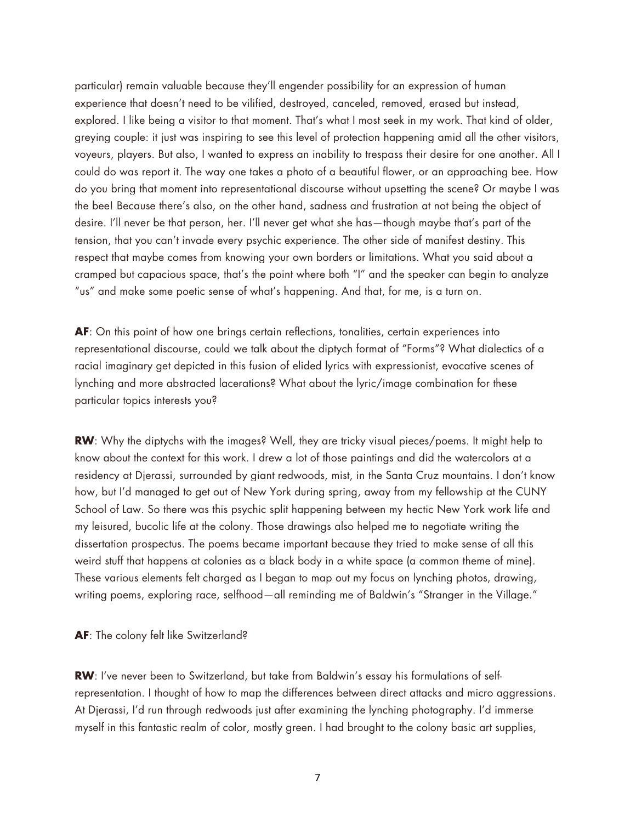particular) remain valuable because they'll engender possibility for an expression of human experience that doesn't need to be vilified, destroyed, canceled, removed, erased but instead, explored. I like being a visitor to that moment. That's what I most seek in my work. That kind of older, greying couple: it just was inspiring to see this level of protection happening amid all the other visitors, voyeurs, players. But also, I wanted to express an inability to trespass their desire for one another. All I could do was report it. The way one takes a photo of a beautiful flower, or an approaching bee. How do you bring that moment into representational discourse without upsetting the scene? Or maybe I was the bee! Because there's also, on the other hand, sadness and frustration at not being the object of desire. I'll never be that person, her. I'll never get what she has—though maybe that's part of the tension, that you can't invade every psychic experience. The other side of manifest destiny. This respect that maybe comes from knowing your own borders or limitations. What you said about a cramped but capacious space, that's the point where both "I" and the speaker can begin to analyze "us" and make some poetic sense of what's happening. And that, for me, is a turn on.

**AF**: On this point of how one brings certain reflections, tonalities, certain experiences into representational discourse, could we talk about the diptych format of "Forms"? What dialectics of a racial imaginary get depicted in this fusion of elided lyrics with expressionist, evocative scenes of lynching and more abstracted lacerations? What about the lyric/image combination for these particular topics interests you?

**RW**: Why the diptychs with the images? Well, they are tricky visual pieces/poems. It might help to know about the context for this work. I drew a lot of those paintings and did the watercolors at a residency at Djerassi, surrounded by giant redwoods, mist, in the Santa Cruz mountains. I don't know how, but I'd managed to get out of New York during spring, away from my fellowship at the CUNY School of Law. So there was this psychic split happening between my hectic New York work life and my leisured, bucolic life at the colony. Those drawings also helped me to negotiate writing the dissertation prospectus. The poems became important because they tried to make sense of all this weird stuff that happens at colonies as a black body in a white space (a common theme of mine). These various elements felt charged as I began to map out my focus on lynching photos, drawing, writing poems, exploring race, selfhood—all reminding me of Baldwin's "Stranger in the Village."

**AF**: The colony felt like Switzerland?

**RW**: I've never been to Switzerland, but take from Baldwin's essay his formulations of selfrepresentation. I thought of how to map the differences between direct attacks and micro aggressions. At Djerassi, I'd run through redwoods just after examining the lynching photography. I'd immerse myself in this fantastic realm of color, mostly green. I had brought to the colony basic art supplies,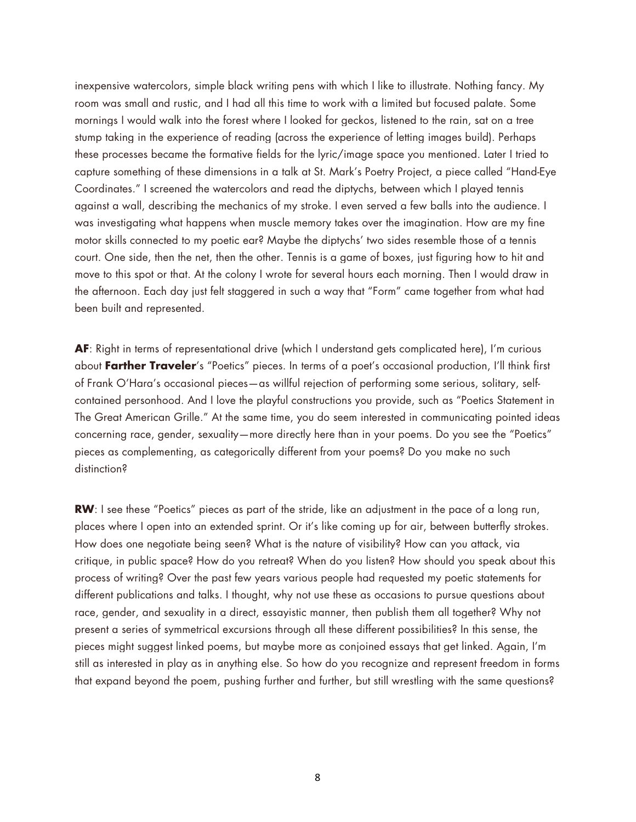inexpensive watercolors, simple black writing pens with which I like to illustrate. Nothing fancy. My room was small and rustic, and I had all this time to work with a limited but focused palate. Some mornings I would walk into the forest where I looked for geckos, listened to the rain, sat on a tree stump taking in the experience of reading (across the experience of letting images build). Perhaps these processes became the formative fields for the lyric/image space you mentioned. Later I tried to capture something of these dimensions in a talk at St. Mark's Poetry Project, a piece called "Hand-Eye Coordinates." I screened the watercolors and read the diptychs, between which I played tennis against a wall, describing the mechanics of my stroke. I even served a few balls into the audience. I was investigating what happens when muscle memory takes over the imagination. How are my fine motor skills connected to my poetic ear? Maybe the diptychs' two sides resemble those of a tennis court. One side, then the net, then the other. Tennis is a game of boxes, just figuring how to hit and move to this spot or that. At the colony I wrote for several hours each morning. Then I would draw in the afternoon. Each day just felt staggered in such a way that "Form" came together from what had been built and represented.

**AF**: Right in terms of representational drive (which I understand gets complicated here), I'm curious about **Farther Traveler**'s "Poetics" pieces. In terms of a poet's occasional production, I'll think first of Frank O'Hara's occasional pieces—as willful rejection of performing some serious, solitary, selfcontained personhood. And I love the playful constructions you provide, such as "Poetics Statement in The Great American Grille." At the same time, you do seem interested in communicating pointed ideas concerning race, gender, sexuality—more directly here than in your poems. Do you see the "Poetics" pieces as complementing, as categorically different from your poems? Do you make no such distinction?

**RW**: I see these "Poetics" pieces as part of the stride, like an adjustment in the pace of a long run, places where I open into an extended sprint. Or it's like coming up for air, between butterfly strokes. How does one negotiate being seen? What is the nature of visibility? How can you attack, via critique, in public space? How do you retreat? When do you listen? How should you speak about this process of writing? Over the past few years various people had requested my poetic statements for different publications and talks. I thought, why not use these as occasions to pursue questions about race, gender, and sexuality in a direct, essayistic manner, then publish them all together? Why not present a series of symmetrical excursions through all these different possibilities? In this sense, the pieces might suggest linked poems, but maybe more as conjoined essays that get linked. Again, I'm still as interested in play as in anything else. So how do you recognize and represent freedom in forms that expand beyond the poem, pushing further and further, but still wrestling with the same questions?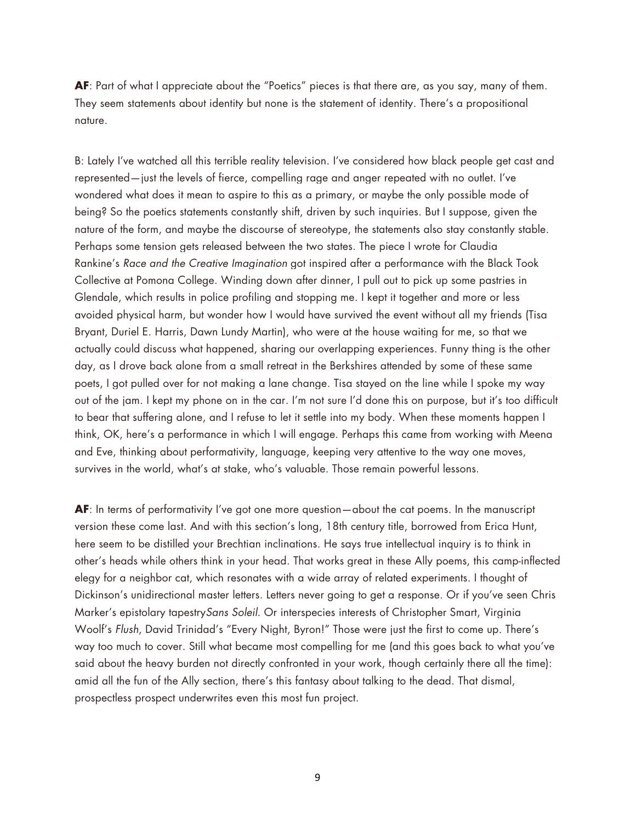**AF**: Part of what I appreciate about the "Poetics" pieces is that there are, as you say, many of them. They seem statements about identity but none is the statement of identity. There's a propositional nature.

B: Lately I've watched all this terrible reality television. I've considered how black people get cast and represented—just the levels of fierce, compelling rage and anger repeated with no outlet. I've wondered what does it mean to aspire to this as a primary, or maybe the only possible mode of being? So the poetics statements constantly shift, driven by such inquiries. But I suppose, given the nature of the form, and maybe the discourse of stereotype, the statements also stay constantly stable. Perhaps some tension gets released between the two states. The piece I wrote for Claudia Rankine's *Race and the Creative Imagination* got inspired after a performance with the Black Took Collective at Pomona College. Winding down after dinner, I pull out to pick up some pastries in Glendale, which results in police profiling and stopping me. I kept it together and more or less avoided physical harm, but wonder how I would have survived the event without all my friends (Tisa Bryant, Duriel E. Harris, Dawn Lundy Martin), who were at the house waiting for me, so that we actually could discuss what happened, sharing our overlapping experiences. Funny thing is the other day, as I drove back alone from a small retreat in the Berkshires attended by some of these same poets, I got pulled over for not making a lane change. Tisa stayed on the line while I spoke my way out of the jam. I kept my phone on in the car. I'm not sure I'd done this on purpose, but it's too difficult to bear that suffering alone, and I refuse to let it settle into my body. When these moments happen I think, OK, here's a performance in which I will engage. Perhaps this came from working with Meena and Eve, thinking about performativity, language, keeping very attentive to the way one moves, survives in the world, what's at stake, who's valuable. Those remain powerful lessons.

**AF**: In terms of performativity I've got one more question—about the cat poems. In the manuscript version these come last. And with this section's long, 18th century title, borrowed from Erica Hunt, here seem to be distilled your Brechtian inclinations. He says true intellectual inquiry is to think in other's heads while others think in your head. That works great in these Ally poems, this camp-inflected elegy for a neighbor cat, which resonates with a wide array of related experiments. I thought of Dickinson's unidirectional master letters. Letters never going to get a response. Or if you've seen Chris Marker's epistolary tapestry*Sans Soleil*. Or interspecies interests of Christopher Smart, Virginia Woolf's *Flush*, David Trinidad's "Every Night, Byron!" Those were just the first to come up. There's way too much to cover. Still what became most compelling for me (and this goes back to what you've said about the heavy burden not directly confronted in your work, though certainly there all the time): amid all the fun of the Ally section, there's this fantasy about talking to the dead. That dismal, prospectless prospect underwrites even this most fun project.